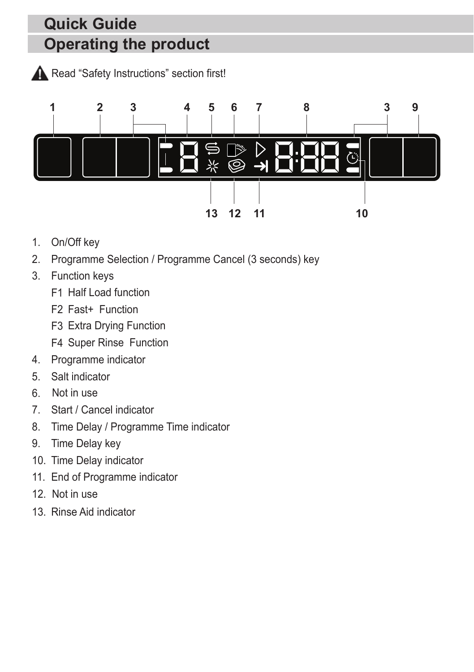## **Operating the product Quick Guide**

Read "Safety Instructions" section first!



- 1. On/Off key
- 2. Programme Selection / Programme Cancel (3 seconds) key
- 3. Function keys
	- F1 Half Load function
	- F2 Fast+ Function
	- F3 Extra Drying Function
	- F4 Super Rinse Function
- 4. Programme indicator
- 5. Salt indicator
- 6. Not in use
- 7. Start / Cancel indicator
- 8. Time Delay / Programme Time indicator
- 9. Time Delay key
- 10. Time Delay indicator
- 11. End of Programme indicator
- 12. Not in use
- 13. Rinse Aid indicator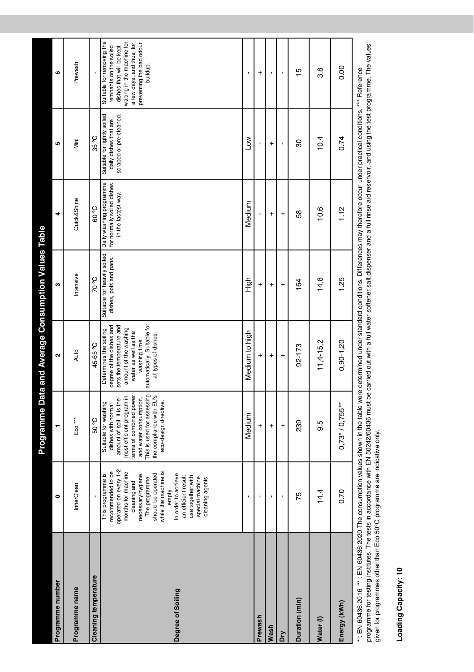| Programme number             | $\bullet$                                                                                                                                                                                                                                                                                                     | ۳                                                                                                                                                                                                                                            | Programme Data and Average Consumption Values Table<br>$\mathbf{\tilde{z}}$                                                                                                                            | m                                | 4                                                                                                        | LO.                                                                             | ဖ                                                                                                                                                                                  |
|------------------------------|---------------------------------------------------------------------------------------------------------------------------------------------------------------------------------------------------------------------------------------------------------------------------------------------------------------|----------------------------------------------------------------------------------------------------------------------------------------------------------------------------------------------------------------------------------------------|--------------------------------------------------------------------------------------------------------------------------------------------------------------------------------------------------------|----------------------------------|----------------------------------------------------------------------------------------------------------|---------------------------------------------------------------------------------|------------------------------------------------------------------------------------------------------------------------------------------------------------------------------------|
| Programme name               | InnerClean                                                                                                                                                                                                                                                                                                    | Eco <sup>***</sup>                                                                                                                                                                                                                           | Auto                                                                                                                                                                                                   | Intensive                        | Quick&Shine                                                                                              | Mini                                                                            | Prewash                                                                                                                                                                            |
| <b>Cleaning temperature</b>  | ï                                                                                                                                                                                                                                                                                                             | 50°C                                                                                                                                                                                                                                         | 45-65°C                                                                                                                                                                                                | <b>C. 02</b>                     | <b>C</b> <sub>°</sub> 09                                                                                 | 35°C                                                                            |                                                                                                                                                                                    |
| Degree of Soiling            | operated on every 1-2<br>recommended to be<br>while the machine is<br>months for machine<br>This programme is<br>should be operated<br>In order to achieve<br>necessary hygiene.<br>an efficient result<br>use together with<br>The programme<br>special machine<br>cleaning agents<br>cleaning and<br>empty. | This is used for assessing<br>the compliance with EU's<br>terms of combined power<br>most efficient program in<br>and water consumption.<br>amount of soil. It is the<br>Suitable for washing<br>eco-design directive.<br>dishes with normal | automatically. Suitable for<br>degree of the dishes and<br>sets the temperature and<br>amount of the washing<br>Determines the soiling<br>water as well as the<br>all types of dishes.<br>washing time | dishes, pots and pans.           | Suitable for heavily soiled Daily washing programme<br>for normally soiled dishes<br>in the fastest way. | Suitable for lightly soiled<br>scraped or pre-cleaned.<br>daily dishes that are | Suitable for removing the<br>waiting in the machine for<br>a few days, and thus, for<br>preventing the bad odour<br>remnants on the soiled<br>dishes that will be kept<br>buildup. |
|                              | ı                                                                                                                                                                                                                                                                                                             | Medium                                                                                                                                                                                                                                       | Medium to high                                                                                                                                                                                         | High                             | Medium                                                                                                   | Low                                                                             | ı                                                                                                                                                                                  |
| Prewash                      |                                                                                                                                                                                                                                                                                                               | $\ddot{}$                                                                                                                                                                                                                                    | $\ddot{}$                                                                                                                                                                                              | $\ddot{}$                        |                                                                                                          |                                                                                 | $\ddot{}$                                                                                                                                                                          |
| Wash                         | ı                                                                                                                                                                                                                                                                                                             | $\ddot{}$                                                                                                                                                                                                                                    | $\ddot{}$                                                                                                                                                                                              | $\ddot{}$                        | $\ddot{}$                                                                                                | $\ddot{}$                                                                       | ı                                                                                                                                                                                  |
| š                            | ï                                                                                                                                                                                                                                                                                                             | $\ddot{}$                                                                                                                                                                                                                                    | $\ddot{}$                                                                                                                                                                                              | $\ddot{}$                        | $\ddot{}$                                                                                                | ı                                                                               | ı                                                                                                                                                                                  |
| Duration (min)               | 75                                                                                                                                                                                                                                                                                                            | 239                                                                                                                                                                                                                                          | 92-173                                                                                                                                                                                                 | 164                              | 58                                                                                                       | 30                                                                              | 15                                                                                                                                                                                 |
| Water (I)                    | 14.4                                                                                                                                                                                                                                                                                                          | 9.5                                                                                                                                                                                                                                          | $11,4-15,2$                                                                                                                                                                                            | 14.8                             | 10.6                                                                                                     | 10.4                                                                            | 3.8                                                                                                                                                                                |
| Energy (kWh)                 | 0.70                                                                                                                                                                                                                                                                                                          | $0,73*/0,755**$                                                                                                                                                                                                                              | $0,90 - 1,20$                                                                                                                                                                                          | 1.25                             | 1.12                                                                                                     | 0.74                                                                            | 0.00                                                                                                                                                                               |
| FM CO 400-0040 *** FMI CO400 | <b>DOOR THE</b>                                                                                                                                                                                                                                                                                               | an is a shear dealer in                                                                                                                                                                                                                      | $\frac{1}{2}$                                                                                                                                                                                          | - Pill<br>almost a constitution. |                                                                                                          | and the part of the second lines.                                               | $\sim$ $\sim$ $\sim$ $\sim$ $\sim$ $\sim$                                                                                                                                          |

\* : EN 60436:2016 \*\* : EN 60436:2020 The consumption values shown in the table were determined under standard conditions. Differences may therefore occur under practical conditions. \*\*\* Reference<br>programme for testing inst programme for testing institutes. The tests in accordance with EN 50242/60436 must be carried out with a full water softener salt dispenser and a full rinse aid reservoir, and using the test programme. The values \* : EN 60436:2016 \*\* : EN 60436:2020 The consumption values shown in the table were determined under standard conditions. Differences may therefore occur under practical conditions. \*\*\* Reference given for programmes other than Eco 50°C programme are indicative only.

# Loading Capacity: 10 **Loading Capacity: 10**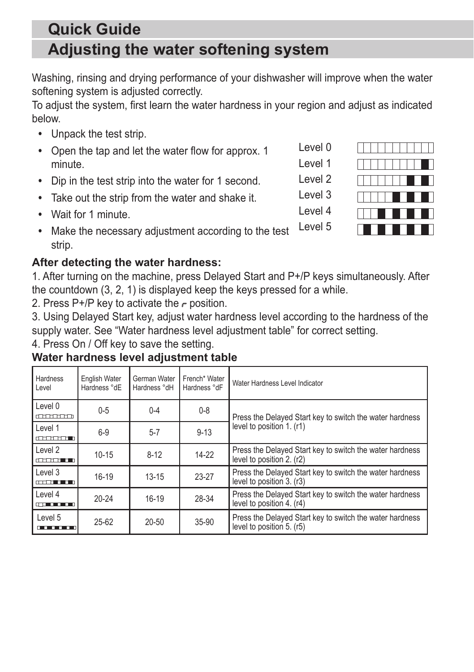### **Adjusting the water softening system Quick Guide**

Washing, rinsing and drying performance of your dishwasher will improve when the water softening system is adjusted correctly.

To adjust the system, first learn the water hardness in your region and adjust as indicated below.

- **•** Unpack the test strip.
- **•** Open the tap and let the water flow for approx. 1 minute.
- **•** Dip in the test strip into the water for 1 second.
- **•** Take out the strip from the water and shake it.
- **•** Wait for 1 minute.
- **•** Make the necessary adjustment according to the test strip. Level 5

#### **After detecting the water hardness:**

1. After turning on the machine, press Delayed Start and P+/P keys simultaneously. After the countdown (3, 2, 1) is displayed keep the keys pressed for a while.

2. Press P+/P key to activate the  $\epsilon$  position.

3. Using Delayed Start key, adjust water hardness level according to the hardness of the supply water. See "Water hardness level adjustment table" for correct setting.

4. Press On / Off key to save the setting.

| Hardness<br>Level                                                                                                               | English Water<br>Hardness °dE | German Water<br>Hardness °dH | French* Water<br>Hardness °dF | Water Hardness Level Indicator                                                        |  |  |  |
|---------------------------------------------------------------------------------------------------------------------------------|-------------------------------|------------------------------|-------------------------------|---------------------------------------------------------------------------------------|--|--|--|
| Level 0<br>manana                                                                                                               | $0 - 5$                       | $0 - 4$                      | $0 - 8$                       | Press the Delayed Start key to switch the water hardness                              |  |  |  |
| Level 1<br>andromana an                                                                                                         | $6-9$                         | $5 - 7$                      | $9 - 13$                      | level to position 1. (r1)                                                             |  |  |  |
| Level 2<br>$\begin{array}{c} \begin{array}{c} \begin{array}{c} \text{def} \end{array} \end{array} \end{array}$                  | $10 - 15$                     | $8 - 12$                     | $14-22$                       | Press the Delayed Start key to switch the water hardness<br>level to position 2. (r2) |  |  |  |
| Level 3<br><b>CONTRACTOR</b>                                                                                                    | $16 - 19$                     | $13 - 15$                    | $23-27$                       | Press the Delayed Start key to switch the water hardness<br>level to position 3. (r3) |  |  |  |
| Level 4<br><u>the company of the company of the company of the company of the company of the company of the company of the </u> | $20 - 24$                     | $16-19$                      | 28-34                         | Press the Delayed Start key to switch the water hardness<br>level to position 4. (r4) |  |  |  |
| Level 5<br><u>a matan</u>                                                                                                       | $25 - 62$                     | $20 - 50$                    | $35-90$                       | Press the Delayed Start key to switch the water hardness<br>level to position 5. (r5) |  |  |  |

#### **Water hardness level adjustment table**



Level 0 Level 1

Level 2

Level 3

Level 4